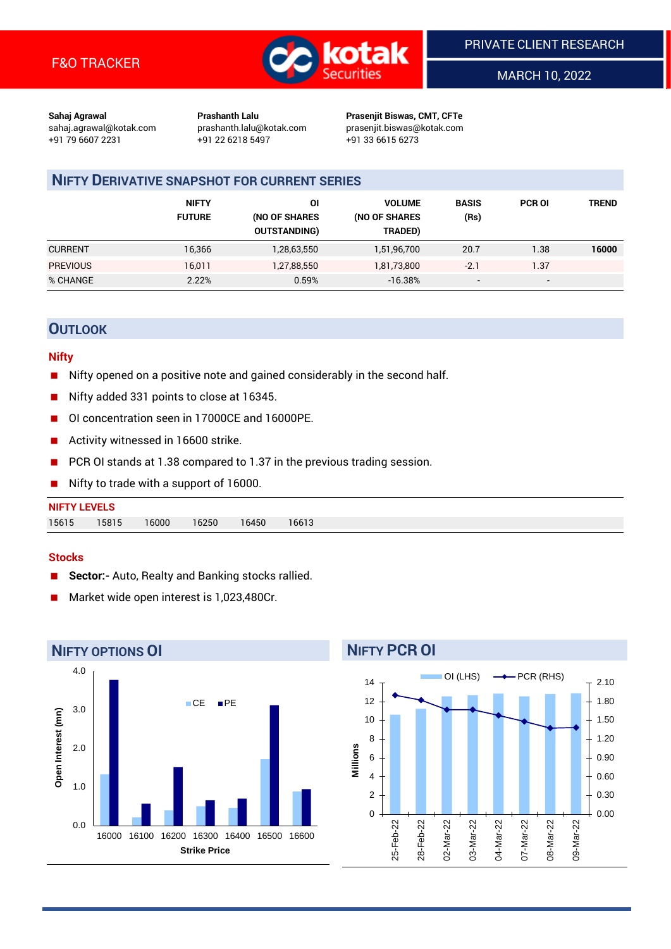

MARCH 10, 2022

**Sahaj Agrawal Prashanth Lalu Prasenjit Biswas, CMT, CFTe** +91 79 6607 2231 +91 22 6218 5497 +91 33 6615 6273

sahaj.agrawal@kotak.com [prashanth.lalu@kotak.com](mailto:prashanth.lalu@kotak.com) prasenjit.biswas@kotak.com

# **NIFTY DERIVATIVE SNAPSHOT FOR CURRENT SERIES**

|                 | <b>NIFTY</b><br><b>FUTURE</b> | ΟI<br>(NO OF SHARES<br><b>OUTSTANDING)</b> | <b>VOLUME</b><br>(NO OF SHARES<br>TRADED) | <b>BASIS</b><br>(Rs)     | <b>PCR OI</b> | <b>TREND</b> |
|-----------------|-------------------------------|--------------------------------------------|-------------------------------------------|--------------------------|---------------|--------------|
| <b>CURRENT</b>  | 16,366                        | 1,28,63,550                                | 1,51,96,700                               | 20.7                     | 1.38          | 16000        |
| <b>PREVIOUS</b> | 16,011                        | 1,27,88,550                                | 1,81,73,800                               | $-2.1$                   | 1.37          |              |
| % CHANGE        | 2.22%                         | 0.59%                                      | $-16.38%$                                 | $\overline{\phantom{a}}$ | -             |              |

# **OUTLOOK**

### **Nifty**

- Nifty opened on a positive note and gained considerably in the second half.
- Nifty added 331 points to close at 16345.
- OI concentration seen in 17000CE and 16000PE.
- Activity witnessed in 16600 strike.
- PCR OI stands at 1.38 compared to 1.37 in the previous trading session.
- Nifty to trade with a support of 16000.

| <b>NIFTY LEVELS</b> |                |                |       |
|---------------------|----------------|----------------|-------|
| 15615               | 15815<br>16000 | 16250<br>16450 | 16613 |

#### **Stocks**

- **Sector:-** Auto, Realty and Banking stocks rallied.
- Market wide open interest is 1,023,480Cr.



**NIFTY PCR OI**

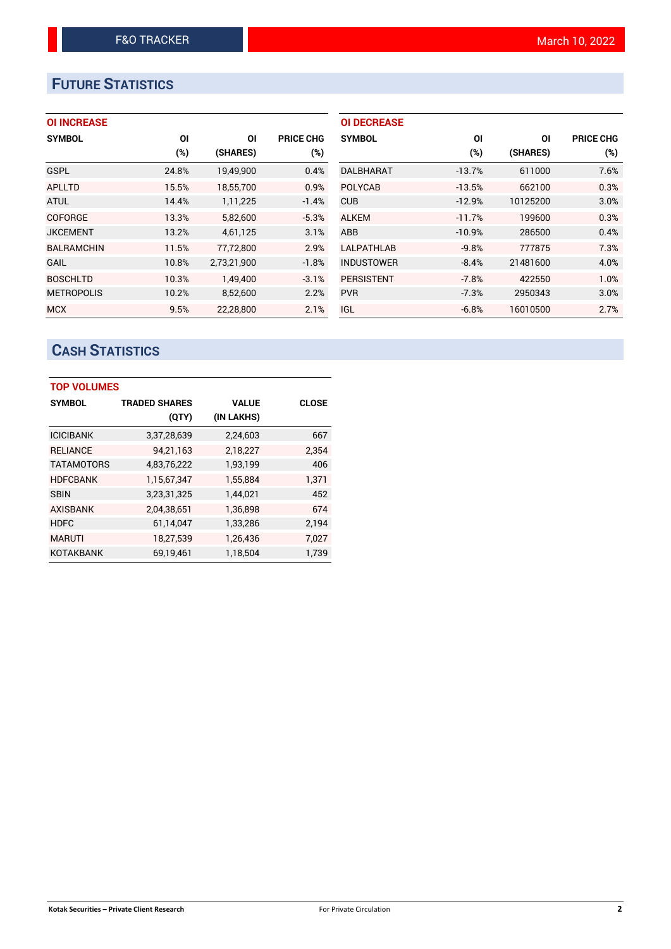# **FUTURE STATISTICS**

| <b>OI INCREASE</b> |       |             |                  | <b>OI DECREASE</b> |          |          |                  |
|--------------------|-------|-------------|------------------|--------------------|----------|----------|------------------|
| <b>SYMBOL</b>      | ΟI    | ΟI          | <b>PRICE CHG</b> | <b>SYMBOL</b>      | ΟI       | ΟI       | <b>PRICE CHG</b> |
|                    | (%)   | (SHARES)    | (%)              |                    | (%)      | (SHARES) | (%)              |
| <b>GSPL</b>        | 24.8% | 19,49,900   | 0.4%             | <b>DALBHARAT</b>   | $-13.7%$ | 611000   | 7.6%             |
| <b>APLLTD</b>      | 15.5% | 18,55,700   | 0.9%             | <b>POLYCAB</b>     | $-13.5%$ | 662100   | 0.3%             |
| <b>ATUL</b>        | 14.4% | 1,11,225    | $-1.4%$          | <b>CUB</b>         | $-12.9%$ | 10125200 | 3.0%             |
| <b>COFORGE</b>     | 13.3% | 5,82,600    | $-5.3%$          | <b>ALKEM</b>       | $-11.7%$ | 199600   | 0.3%             |
| <b>JKCEMENT</b>    | 13.2% | 4,61,125    | 3.1%             | ABB                | $-10.9%$ | 286500   | 0.4%             |
| <b>BALRAMCHIN</b>  | 11.5% | 77,72,800   | 2.9%             | <b>LALPATHLAB</b>  | $-9.8%$  | 777875   | 7.3%             |
| <b>GAIL</b>        | 10.8% | 2,73,21,900 | $-1.8%$          | <b>INDUSTOWER</b>  | $-8.4%$  | 21481600 | 4.0%             |
| <b>BOSCHLTD</b>    | 10.3% | 1.49.400    | $-3.1%$          | <b>PERSISTENT</b>  | $-7.8%$  | 422550   | 1.0%             |
| <b>METROPOLIS</b>  | 10.2% | 8,52,600    | 2.2%             | <b>PVR</b>         | $-7.3%$  | 2950343  | 3.0%             |
| <b>MCX</b>         | 9.5%  | 22,28,800   | 2.1%             | IGL                | $-6.8%$  | 16010500 | 2.7%             |

# **CASH STATISTICS**

| <b>TOP VOLUMES</b> |                      |              |              |  |  |  |  |
|--------------------|----------------------|--------------|--------------|--|--|--|--|
| <b>SYMBOL</b>      | <b>TRADED SHARES</b> | <b>VALUE</b> | <b>CLOSE</b> |  |  |  |  |
|                    | (QTY)                | (IN LAKHS)   |              |  |  |  |  |
| <b>ICICIBANK</b>   | 3,37,28,639          | 2,24,603     | 667          |  |  |  |  |
| <b>RELIANCE</b>    | 94,21,163            | 2,18,227     | 2.354        |  |  |  |  |
| <b>TATAMOTORS</b>  | 4,83,76,222          | 1,93,199     | 406          |  |  |  |  |
| <b>HDFCBANK</b>    | 1,15,67,347          | 1,55,884     | 1,371        |  |  |  |  |
| <b>SBIN</b>        | 3,23,31,325          | 1,44,021     | 452          |  |  |  |  |
| <b>AXISBANK</b>    | 2,04,38,651          | 1,36,898     | 674          |  |  |  |  |
| <b>HDFC</b>        | 61,14,047            | 1,33,286     | 2,194        |  |  |  |  |
| <b>MARUTI</b>      | 18,27,539            | 1,26,436     | 7,027        |  |  |  |  |
| <b>KOTAKBANK</b>   | 69.19.461            | 1,18,504     | 1.739        |  |  |  |  |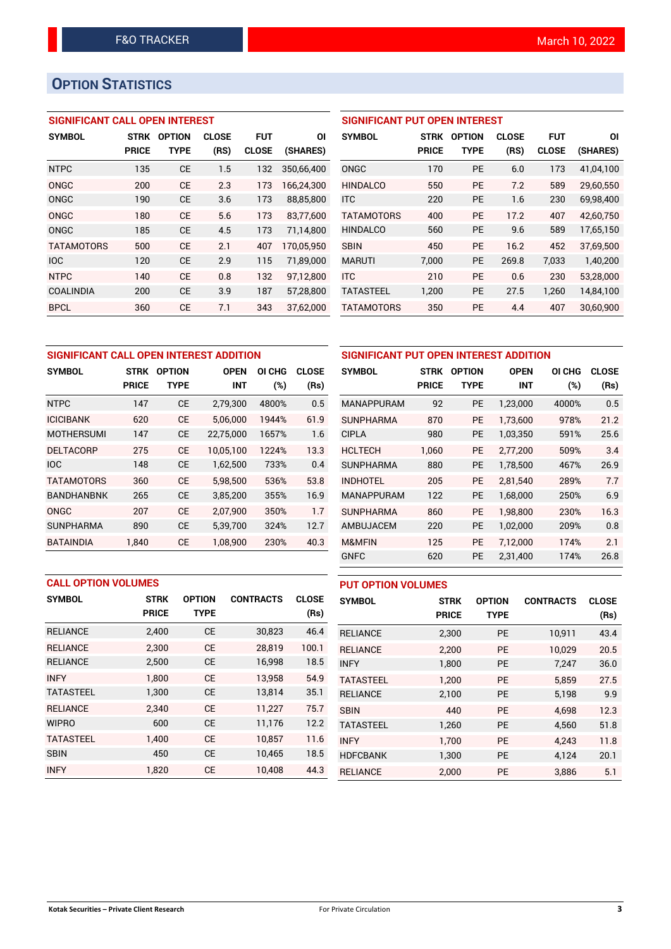# **OPTION STATISTICS**

## **SIGNIFICANT CALL OPEN INTEREST**

| <b>SYMBOL</b>     | <b>STRK</b>  | <b>OPTION</b> | <b>CLOSE</b> | <b>FUT</b>   | ΟI         |
|-------------------|--------------|---------------|--------------|--------------|------------|
|                   | <b>PRICE</b> | TYPE          | (RS)         | <b>CLOSE</b> | (SHARES)   |
| <b>NTPC</b>       | 135          | <b>CE</b>     | 1.5          | 132          | 350,66,400 |
| ONGC              | 200          | CE            | 2.3          | 173          | 166,24,300 |
| ONGC              | 190          | <b>CE</b>     | 3.6          | 173          | 88,85,800  |
| ONGC              | 180          | CE            | 5.6          | 173          | 83,77,600  |
| ONGC              | 185          | CE            | 4.5          | 173          | 71,14,800  |
| <b>TATAMOTORS</b> | 500          | CE            | 2.1          | 407          | 170,05,950 |
| <b>IOC</b>        | 120          | CE            | 2.9          | 115          | 71,89,000  |
| <b>NTPC</b>       | 140          | CE            | 0.8          | 132          | 97,12,800  |
| COALINDIA         | 200          | CE            | 3.9          | 187          | 57,28,800  |
| <b>BPCL</b>       | 360          | CE            | 7.1          | 343          | 37.62.000  |

## **SIGNIFICANT PUT OPEN INTEREST**

| <b>SYMBOL</b>     | <b>STRK</b><br><b>PRICE</b> | <b>OPTION</b><br>TYPE | <b>CLOSE</b><br>(RS) | <b>FUT</b><br><b>CLOSE</b> | ΟI<br>(SHARES) |
|-------------------|-----------------------------|-----------------------|----------------------|----------------------------|----------------|
| ONGC              | 170                         | PF                    | 6.0                  | 173                        | 41,04,100      |
| <b>HINDALCO</b>   | 550                         | PF                    | 7.2                  | 589                        | 29,60,550      |
| <b>ITC</b>        | 220                         | PF                    | 1.6                  | 230                        | 69,98,400      |
| <b>TATAMOTORS</b> | 400                         | PF                    | 17.2                 | 407                        | 42,60,750      |
| <b>HINDALCO</b>   | 560                         | <b>PE</b>             | 9.6                  | 589                        | 17,65,150      |
| <b>SBIN</b>       | 450                         | PF                    | 16.2                 | 452                        | 37.69.500      |
| <b>MARUTI</b>     | 7,000                       | <b>PE</b>             | 269.8                | 7,033                      | 1,40,200       |
| <b>ITC</b>        | 210                         | PF                    | 0.6                  | 230                        | 53,28,000      |
| <b>TATASTEEL</b>  | 1.200                       | <b>PE</b>             | 27.5                 | 1,260                      | 14,84,100      |
| <b>TATAMOTORS</b> | 350                         | <b>PE</b>             | 4.4                  | 407                        | 30,60,900      |

| SIGNIFICANT CALL OPEN INTEREST ADDITION |              |                              |            |        |              |  |  |
|-----------------------------------------|--------------|------------------------------|------------|--------|--------------|--|--|
| <b>SYMBOL</b>                           | <b>STRK</b>  | <b>OPTION</b><br><b>OPEN</b> |            | OI CHG | <b>CLOSE</b> |  |  |
|                                         | <b>PRICE</b> | TYPE                         | <b>INT</b> | (%)    | (Rs)         |  |  |
| <b>NTPC</b>                             | 147          | <b>CE</b>                    | 2,79,300   | 4800%  | 0.5          |  |  |
| <b>ICICIBANK</b>                        | 620          | <b>CE</b>                    | 5,06,000   | 1944%  | 61.9         |  |  |
| <b>MOTHERSUMI</b>                       | 147          | CE                           | 22,75,000  | 1657%  | 1.6          |  |  |
| <b>DELTACORP</b>                        | 275          | <b>CE</b>                    | 10.05.100  | 1224%  | 13.3         |  |  |
| <b>IOC</b>                              | 148          | <b>CE</b>                    | 1,62,500   | 733%   | 0.4          |  |  |
| <b>TATAMOTORS</b>                       | 360          | <b>CE</b>                    | 5,98,500   | 536%   | 53.8         |  |  |
| <b>BANDHANBNK</b>                       | 265          | СE                           | 3,85,200   | 355%   | 16.9         |  |  |
| ONGC                                    | 207          | <b>CE</b>                    | 2,07,900   | 350%   | 1.7          |  |  |
| <b>SUNPHARMA</b>                        | 890          | <b>CE</b>                    | 5,39,700   | 324%   | 12.7         |  |  |
| BATAINDIA                               | 1.840        | <b>CE</b>                    | 1,08,900   | 230%   | 40.3         |  |  |

| SIGNIFICANT PUT OPEN INTEREST ADDITION |                             |                              |                           |                      |                      |  |  |  |
|----------------------------------------|-----------------------------|------------------------------|---------------------------|----------------------|----------------------|--|--|--|
| <b>SYMBOL</b>                          | <b>STRK</b><br><b>PRICE</b> | <b>OPTION</b><br><b>TYPE</b> | <b>OPEN</b><br><b>INT</b> | <b>OI CHG</b><br>(%) | <b>CLOSE</b><br>(Rs) |  |  |  |
| <b>MANAPPURAM</b>                      | 92                          | <b>PE</b>                    | 1,23,000                  | 4000%                | 0.5                  |  |  |  |
| <b>SUNPHARMA</b>                       | 870                         | <b>PE</b>                    | 1,73,600                  | 978%                 | 21.2                 |  |  |  |
| <b>CIPLA</b>                           | 980                         | <b>PE</b>                    | 1,03,350                  | 591%                 | 25.6                 |  |  |  |
| <b>HCLTECH</b>                         | 1,060                       | <b>PE</b>                    | 2,77,200                  | 509%                 | 3.4                  |  |  |  |
| <b>SUNPHARMA</b>                       | 880                         | <b>PE</b>                    | 1,78,500                  | 467%                 | 26.9                 |  |  |  |
| <b>INDHOTEL</b>                        | 205                         | <b>PE</b>                    | 2.81.540                  | 289%                 | 7.7                  |  |  |  |
| <b>MANAPPURAM</b>                      | 122                         | <b>PE</b>                    | 1,68,000                  | 250%                 | 6.9                  |  |  |  |
| <b>SUNPHARMA</b>                       | 860                         | <b>PE</b>                    | 1,98,800                  | 230%                 | 16.3                 |  |  |  |
| AMBUJACEM                              | 220                         | <b>PE</b>                    | 1,02,000                  | 209%                 | 0.8                  |  |  |  |
| <b>M&amp;MFIN</b>                      | 125                         | <b>PE</b>                    | 7,12,000                  | 174%                 | 2.1                  |  |  |  |
| <b>GNFC</b>                            | 620                         | PE                           | 2,31,400                  | 174%                 | 26.8                 |  |  |  |

| <b>CALL OPTION VOLUMES</b> |                             |                              |                  |                      |  |  |  |  |
|----------------------------|-----------------------------|------------------------------|------------------|----------------------|--|--|--|--|
| <b>SYMBOL</b>              | <b>STRK</b><br><b>PRICE</b> | <b>OPTION</b><br><b>TYPE</b> | <b>CONTRACTS</b> | <b>CLOSE</b><br>(Rs) |  |  |  |  |
| <b>RELIANCE</b>            | 2,400                       | <b>CE</b>                    | 30,823           | 46.4                 |  |  |  |  |
| <b>RELIANCE</b>            | 2.300                       | <b>CE</b>                    | 28.819           | 100.1                |  |  |  |  |
| <b>RELIANCE</b>            | 2,500                       | <b>CE</b>                    | 16,998           | 18.5                 |  |  |  |  |
| <b>INFY</b>                | 1,800                       | <b>CE</b>                    | 13,958           | 54.9                 |  |  |  |  |
| <b>TATASTEEL</b>           | 1,300                       | <b>CE</b>                    | 13,814           | 35.1                 |  |  |  |  |
| <b>RELIANCE</b>            | 2,340                       | <b>CE</b>                    | 11,227           | 75.7                 |  |  |  |  |
| <b>WIPRO</b>               | 600                         | <b>CE</b>                    | 11,176           | 12.2                 |  |  |  |  |
| <b>TATASTEEL</b>           | 1,400                       | <b>CE</b>                    | 10.857           | 11.6                 |  |  |  |  |
| SBIN                       | 450                         | <b>CE</b>                    | 10.465           | 18.5                 |  |  |  |  |

INFY 1,820 CE 10,408 44.3

| <b>PUT OPTION VOLUMES</b> |              |               |                  |              |  |  |  |
|---------------------------|--------------|---------------|------------------|--------------|--|--|--|
| <b>SYMBOL</b>             | <b>STRK</b>  | <b>OPTION</b> | <b>CONTRACTS</b> | <b>CLOSE</b> |  |  |  |
|                           | <b>PRICE</b> | <b>TYPE</b>   |                  | (Rs)         |  |  |  |
| <b>RELIANCE</b>           | 2,300        | <b>PE</b>     | 10,911           | 43.4         |  |  |  |
| <b>RELIANCE</b>           | 2,200        | <b>PE</b>     | 10.029           | 20.5         |  |  |  |
| <b>INFY</b>               | 1,800        | <b>PE</b>     | 7,247            | 36.0         |  |  |  |
| <b>TATASTEEL</b>          | 1,200        | <b>PE</b>     | 5.859            | 27.5         |  |  |  |
| <b>RELIANCE</b>           | 2,100        | <b>PE</b>     | 5,198            | 9.9          |  |  |  |
| <b>SBIN</b>               | 440          | PF            | 4.698            | 12.3         |  |  |  |
| <b>TATASTEEL</b>          | 1,260        | <b>PE</b>     | 4,560            | 51.8         |  |  |  |
| <b>INFY</b>               | 1,700        | <b>PE</b>     | 4,243            | 11.8         |  |  |  |
| <b>HDFCBANK</b>           | 1,300        | <b>PE</b>     | 4,124            | 20.1         |  |  |  |
| <b>RELIANCE</b>           | 2,000        | PE            | 3,886            | 5.1          |  |  |  |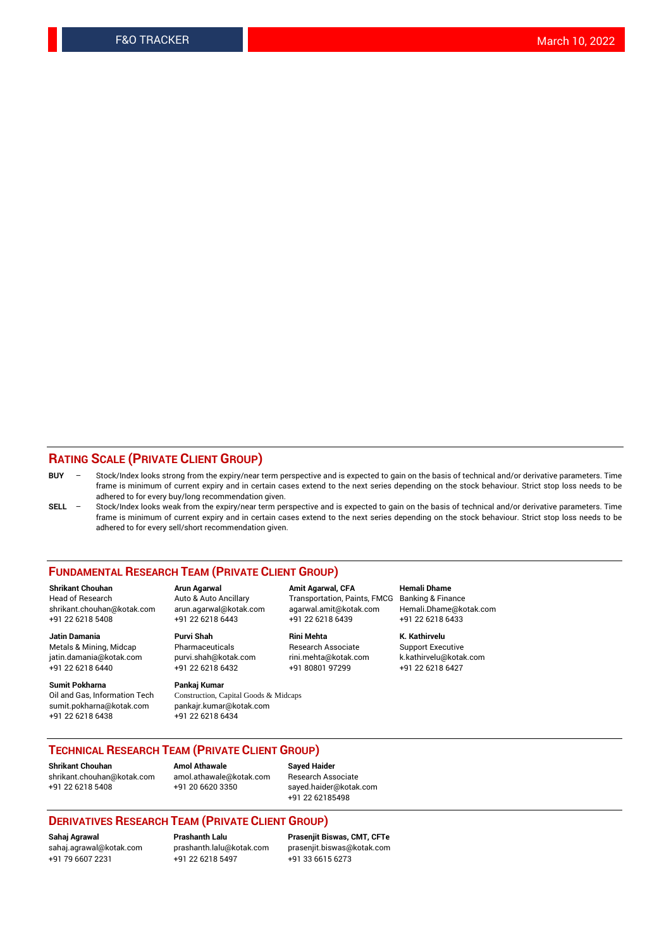### **RATING SCALE (PRIVATE CLIENT GROUP)**

- **BUY**  Stock/Index looks strong from the expiry/near term perspective and is expected to gain on the basis of technical and/or derivative parameters. Time frame is minimum of current expiry and in certain cases extend to the next series depending on the stock behaviour. Strict stop loss needs to be adhered to for every buy/long recommendation given.
- **SELL** Stock/Index looks weak from the expiry/near term perspective and is expected to gain on the basis of technical and/or derivative parameters. Time frame is minimum of current expiry and in certain cases extend to the next series depending on the stock behaviour. Strict stop loss needs to be adhered to for every sell/short recommendation given.

#### **FUNDAMENTAL RESEARCH TEAM (PRIVATE CLIENT GROUP)**

**Shrikant Chouhan Arun Agarwal Amit Agarwal, CFA Hemali Dhame** shrikant.chouhan@kotak.com arun.agarwal@kotak.com agarwal.amit@kotak.com Hemali.Dhame@kotak.com +91 22 6218 5408 +91 22 6218 6443 +91 22 6218 6439 +91 22 6218 6433

jatin.damania@kotak.com +91 22 6218 6440 +91 22 6218 6432 +91 80801 97299 +91 22 6218 6427

**Sumit Pokharna** Pankaj Kumar<br>Oil and Gas, Information Tech Construction, C sumit.pokharna@kotak.com pankajr.kumar@kotak.com +91 22 6218 6438 +91 22 6218 6434

**Jatin Damania Purvi Shah Rini Mehta K. Kathirvelu**

Construction, Capital Goods & Midcaps

Transportation, Paints, FMCG

Metals & Mining, Midcap Pharmaceuticals Pharmaceuticals Research Associate Support Executive<br>
iatin.damania@kotak.com purvi.shah@kotak.com rini.mehta@kotak.com k.kathirvelu@kotak.com

## **TECHNICAL RESEARCH TEAM (PRIVATE CLIENT GROUP)**

**Shrikant Chouhan Amol Athawale Sayed Haider** [shrikant.chouhan@kotak.com](mailto:shrikant.chouhan@kotak.com) [amol.athawale@kotak.com](mailto:amol.athawale@kotak.com) Research Associate +91 22 6218 5408 +91 20 6620 3350 [sayed.haider@kotak.com](mailto:sayed.haider@kotak.com)

+91 22 62185498

#### **DERIVATIVES RESEARCH TEAM (PRIVATE CLIENT GROUP)**

+91 79 6607 2231 +91 22 6218 5497 +91 33 6615 6273

**Sahaj Agrawal Prashanth Lalu Prasenjit Biswas, CMT, CFTe** [prasenjit.biswas@kotak.com](mailto:prasenjit.biswas@kotak.com)